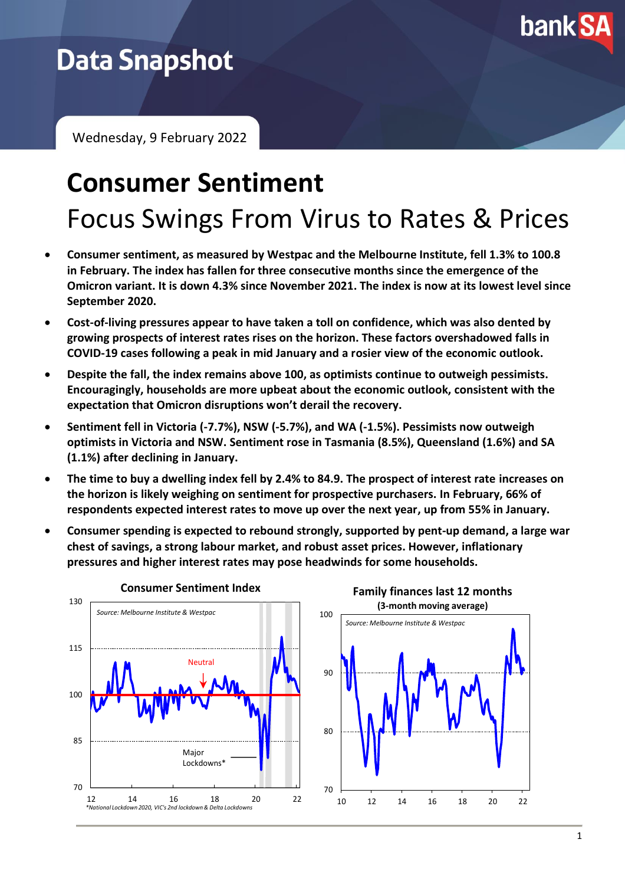

# **Data Snapshot**

Wednesday, 9 February 2022

# **Consumer Sentiment** Focus Swings From Virus to Rates & Prices

- **Consumer sentiment, as measured by Westpac and the Melbourne Institute, fell 1.3% to 100.8 in February. The index has fallen for three consecutive months since the emergence of the Omicron variant. It is down 4.3% since November 2021. The index is now at its lowest level since September 2020.**
- **Cost-of-living pressures appear to have taken a toll on confidence, which was also dented by growing prospects of interest rates rises on the horizon. These factors overshadowed falls in COVID-19 cases following a peak in mid January and a rosier view of the economic outlook.**
- **Despite the fall, the index remains above 100, as optimists continue to outweigh pessimists. Encouragingly, households are more upbeat about the economic outlook, consistent with the expectation that Omicron disruptions won't derail the recovery.**
- **Sentiment fell in Victoria (-7.7%), NSW (-5.7%), and WA (-1.5%). Pessimists now outweigh optimists in Victoria and NSW. Sentiment rose in Tasmania (8.5%), Queensland (1.6%) and SA (1.1%) after declining in January.**
- **The time to buy a dwelling index fell by 2.4% to 84.9. The prospect of interest rate increases on the horizon is likely weighing on sentiment for prospective purchasers. In February, 66% of respondents expected interest rates to move up over the next year, up from 55% in January.**
- **Consumer spending is expected to rebound strongly, supported by pent-up demand, a large war chest of savings, a strong labour market, and robust asset prices. However, inflationary pressures and higher interest rates may pose headwinds for some households.**





**Family finances last 12 months**

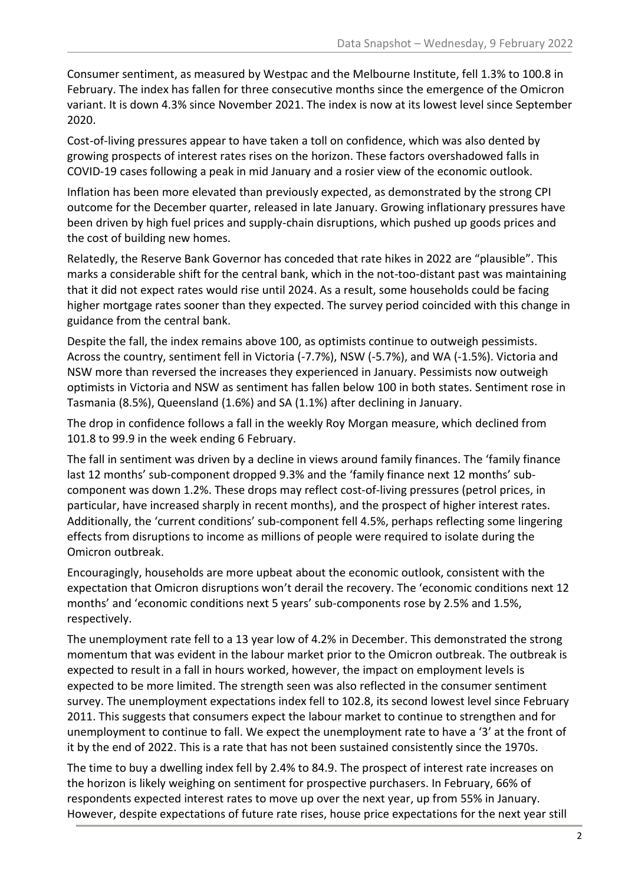Consumer sentiment, as measured by Westpac and the Melbourne Institute, fell 1.3% to 100.8 in February. The index has fallen for three consecutive months since the emergence of the Omicron variant. It is down 4.3% since November 2021. The index is now at its lowest level since September 2020.

Cost-of-living pressures appear to have taken a toll on confidence, which was also dented by growing prospects of interest rates rises on the horizon. These factors overshadowed falls in COVID-19 cases following a peak in mid January and a rosier view of the economic outlook.

Inflation has been more elevated than previously expected, as demonstrated by the strong CPI outcome for the December quarter, released in late January. Growing inflationary pressures have been driven by high fuel prices and supply-chain disruptions, which pushed up goods prices and the cost of building new homes.

Relatedly, the Reserve Bank Governor has conceded that rate hikes in 2022 are "plausible". This marks a considerable shift for the central bank, which in the not-too-distant past was maintaining that it did not expect rates would rise until 2024. As a result, some households could be facing higher mortgage rates sooner than they expected. The survey period coincided with this change in guidance from the central bank.

Despite the fall, the index remains above 100, as optimists continue to outweigh pessimists. Across the country, sentiment fell in Victoria (-7.7%), NSW (-5.7%), and WA (-1.5%). Victoria and NSW more than reversed the increases they experienced in January. Pessimists now outweigh optimists in Victoria and NSW as sentiment has fallen below 100 in both states. Sentiment rose in Tasmania (8.5%), Queensland (1.6%) and SA (1.1%) after declining in January.

The drop in confidence follows a fall in the weekly Roy Morgan measure, which declined from 101.8 to 99.9 in the week ending 6 February.

The fall in sentiment was driven by a decline in views around family finances. The 'family finance last 12 months' sub-component dropped 9.3% and the 'family finance next 12 months' subcomponent was down 1.2%. These drops may reflect cost-of-living pressures (petrol prices, in particular, have increased sharply in recent months), and the prospect of higher interest rates. Additionally, the 'current conditions' sub-component fell 4.5%, perhaps reflecting some lingering effects from disruptions to income as millions of people were required to isolate during the Omicron outbreak.

Encouragingly, households are more upbeat about the economic outlook, consistent with the expectation that Omicron disruptions won't derail the recovery. The 'economic conditions next 12 months' and 'economic conditions next 5 years' sub-components rose by 2.5% and 1.5%, respectively.

The unemployment rate fell to a 13 year low of 4.2% in December. This demonstrated the strong momentum that was evident in the labour market prior to the Omicron outbreak. The outbreak is expected to result in a fall in hours worked, however, the impact on employment levels is expected to be more limited. The strength seen was also reflected in the consumer sentiment survey. The unemployment expectations index fell to 102.8, its second lowest level since February 2011. This suggests that consumers expect the labour market to continue to strengthen and for unemployment to continue to fall. We expect the unemployment rate to have a '3' at the front of it by the end of 2022. This is a rate that has not been sustained consistently since the 1970s.

The time to buy a dwelling index fell by 2.4% to 84.9. The prospect of interest rate increases on the horizon is likely weighing on sentiment for prospective purchasers. In February, 66% of respondents expected interest rates to move up over the next year, up from 55% in January. However, despite expectations of future rate rises, house price expectations for the next year still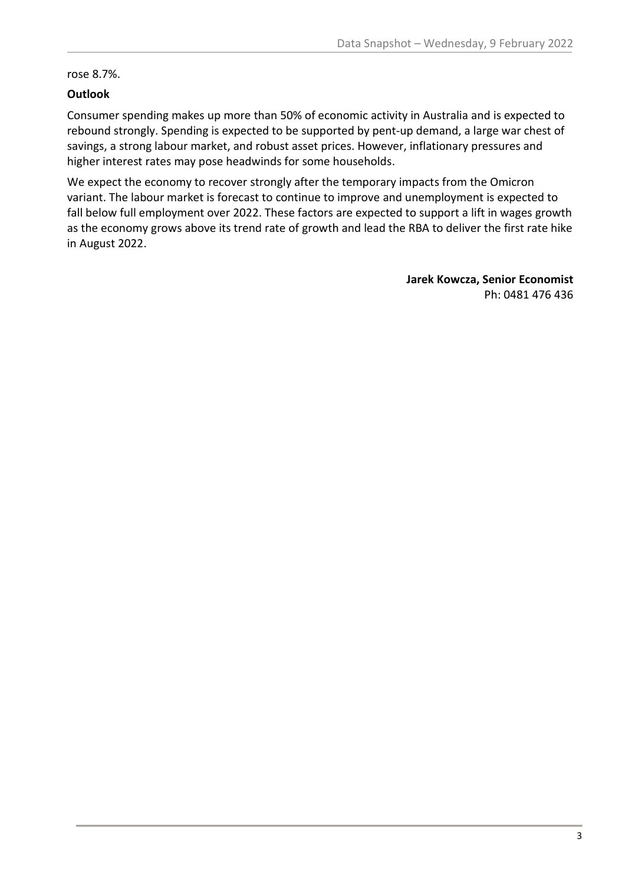rose 8.7%.

## **Outlook**

Consumer spending makes up more than 50% of economic activity in Australia and is expected to rebound strongly. Spending is expected to be supported by pent-up demand, a large war chest of savings, a strong labour market, and robust asset prices. However, inflationary pressures and higher interest rates may pose headwinds for some households.

We expect the economy to recover strongly after the temporary impacts from the Omicron variant. The labour market is forecast to continue to improve and unemployment is expected to fall below full employment over 2022. These factors are expected to support a lift in wages growth as the economy grows above its trend rate of growth and lead the RBA to deliver the first rate hike in August 2022.

> **Jarek Kowcza, Senior Economist** Ph: 0481 476 436